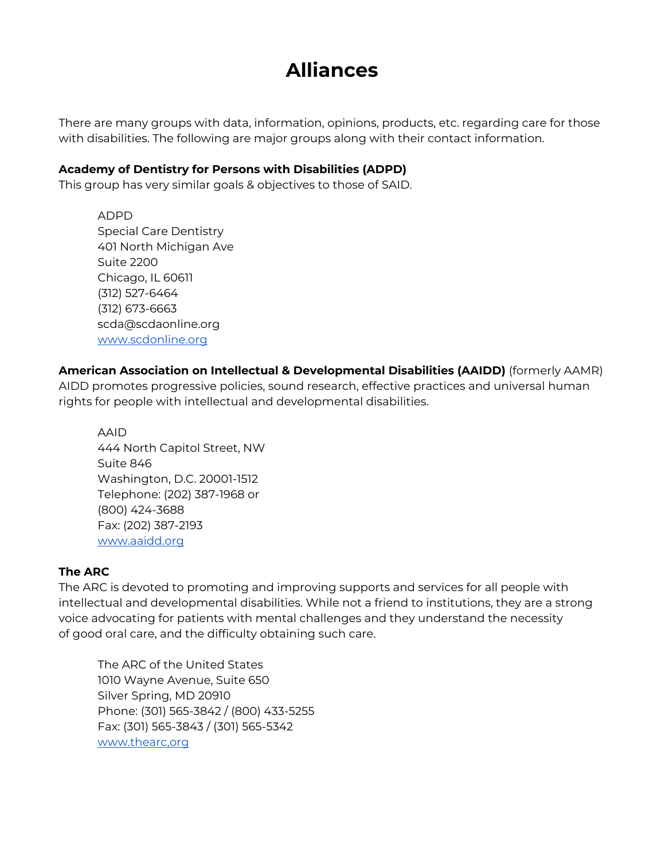# **Alliances**

There are many groups with data, information, opinions, products, etc. regarding care for those with disabilities. The following are major groups along with their contact information.

#### **Academy of Dentistry for Persons with Disabilities (ADPD)**

This group has very similar goals & objectives to those of SAID.

ADPD Special Care Dentistry 401 North Michigan Ave Suite 2200 Chicago, IL 60611 (312) 527-6464 (312) 673-6663 scda@scdaonline.org [www.scdonline.org](http://www.scdonline.org/)

**American Association on Intellectual & Developmental Disabilities (AAIDD)** (formerly AAMR) AIDD promotes progressive policies, sound research, effective practices and universal human rights for people with intellectual and developmental disabilities.

AAID 444 North Capitol Street, NW Suite 846 Washington, D.C. 20001-1512 Telephone: (202) 387-1968 or (800) 424-3688 Fax: (202) 387-2193 [www.aaidd.org](http://www.aaidd.org/)

#### **The ARC**

The ARC is devoted to promoting and improving supports and services for all people with intellectual and developmental disabilities. While not a friend to institutions, they are a strong voice advocating for patients with mental challenges and they understand the necessity of good oral care, and the difficulty obtaining such care.

The ARC of the United States 1010 Wayne Avenue, Suite 650 Silver Spring, MD 20910 Phone: (301) 565-3842 / (800) 433-5255 Fax: (301) 565-3843 / (301) 565-5342 www.thearc,org